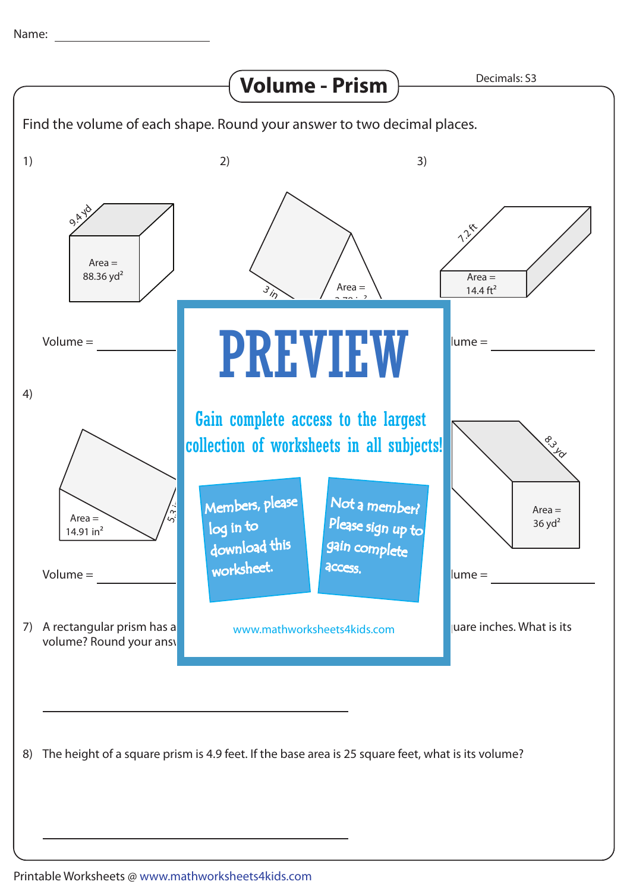